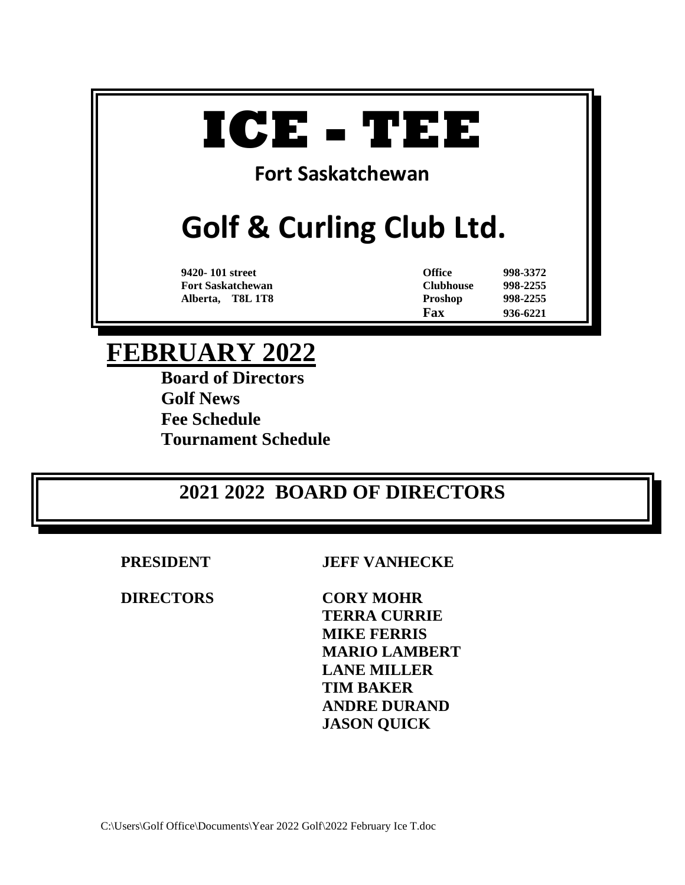# **ICE - TEE**

# **Fort Saskatchewan**

# **Golf & Curling Club Ltd.**

**9420- 101 street Office 998-3372 Fort Saskatchewan Clubhouse 998-2255 Alberta, T8L 1T8 Proshop 998-2255 Fax 936-6221**

# **FEBRUARY 2022**

**Board of Directors Golf News Fee Schedule Tournament Schedule**

# **2021 2022 BOARD OF DIRECTORS**

**DIRECTORS CORY MOHR**

**PRESIDENT JEFF VANHECKE**

**TERRA CURRIE MIKE FERRIS MARIO LAMBERT LANE MILLER TIM BAKER ANDRE DURAND JASON QUICK**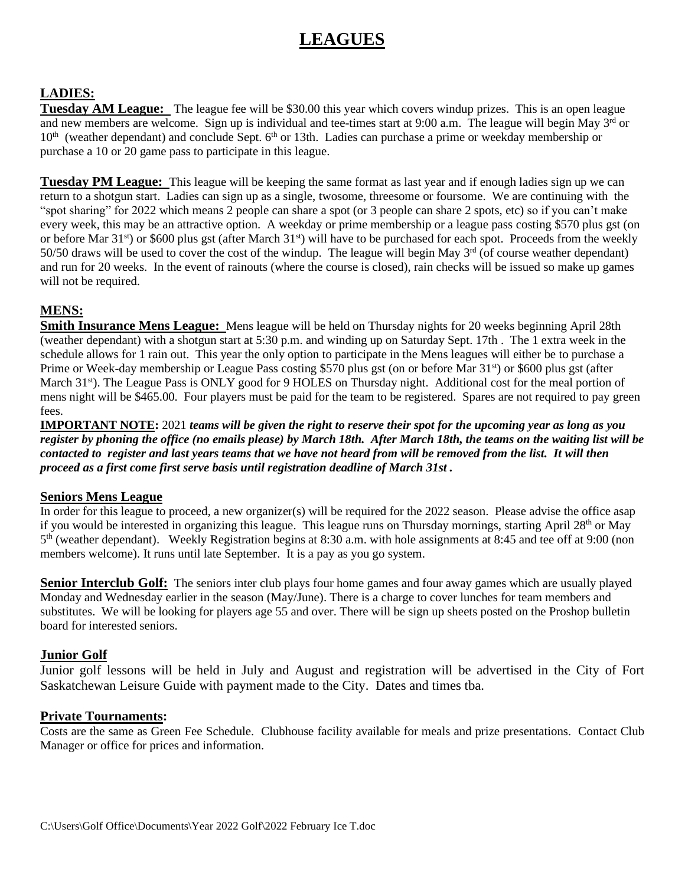# **LEAGUES**

#### **LADIES:**

**Tuesday AM League:** The league fee will be \$30.00 this year which covers windup prizes. This is an open league and new members are welcome. Sign up is individual and tee-times start at 9:00 a.m. The league will begin May 3<sup>rd</sup> or 10<sup>th</sup> (weather dependant) and conclude Sept. 6<sup>th</sup> or 13th. Ladies can purchase a prime or weekday membership or purchase a 10 or 20 game pass to participate in this league.

**Tuesday PM League:** This league will be keeping the same format as last year and if enough ladies sign up we can return to a shotgun start. Ladies can sign up as a single, twosome, threesome or foursome. We are continuing with the "spot sharing" for 2022 which means 2 people can share a spot (or 3 people can share 2 spots, etc) so if you can't make every week, this may be an attractive option. A weekday or prime membership or a league pass costing \$570 plus gst (on or before Mar  $31<sup>st</sup>$  or \$600 plus gst (after March  $31<sup>st</sup>$ ) will have to be purchased for each spot. Proceeds from the weekly 50/50 draws will be used to cover the cost of the windup. The league will begin May  $3<sup>rd</sup>$  (of course weather dependant) and run for 20 weeks. In the event of rainouts (where the course is closed), rain checks will be issued so make up games will not be required.

#### **MENS:**

**Smith Insurance Mens League:** Mens league will be held on Thursday nights for 20 weeks beginning April 28th (weather dependant) with a shotgun start at 5:30 p.m. and winding up on Saturday Sept. 17th . The 1 extra week in the schedule allows for 1 rain out. This year the only option to participate in the Mens leagues will either be to purchase a Prime or Week-day membership or League Pass costing \$570 plus gst (on or before Mar 31st) or \$600 plus gst (after March 31<sup>st</sup>). The League Pass is ONLY good for 9 HOLES on Thursday night. Additional cost for the meal portion of mens night will be \$465.00. Four players must be paid for the team to be registered. Spares are not required to pay green fees.

**IMPORTANT NOTE:** 2021 *teams will be given the right to reserve their spot for the upcoming year as long as you register by phoning the office (no emails please) by March 18th. After March 18th, the teams on the waiting list will be contacted to register and last years teams that we have not heard from will be removed from the list. It will then proceed as a first come first serve basis until registration deadline of March 31st .*

#### **Seniors Mens League**

In order for this league to proceed, a new organizer(s) will be required for the 2022 season. Please advise the office asap if you would be interested in organizing this league. This league runs on Thursday mornings, starting April 28<sup>th</sup> or May 5<sup>th</sup> (weather dependant). Weekly Registration begins at 8:30 a.m. with hole assignments at 8:45 and tee off at 9:00 (non members welcome). It runs until late September. It is a pay as you go system.

**Senior Interclub Golf:** The seniors inter club plays four home games and four away games which are usually played Monday and Wednesday earlier in the season (May/June). There is a charge to cover lunches for team members and substitutes. We will be looking for players age 55 and over. There will be sign up sheets posted on the Proshop bulletin board for interested seniors.

#### **Junior Golf**

Junior golf lessons will be held in July and August and registration will be advertised in the City of Fort Saskatchewan Leisure Guide with payment made to the City. Dates and times tba.

#### **Private Tournaments:**

Costs are the same as Green Fee Schedule. Clubhouse facility available for meals and prize presentations. Contact Club Manager or office for prices and information.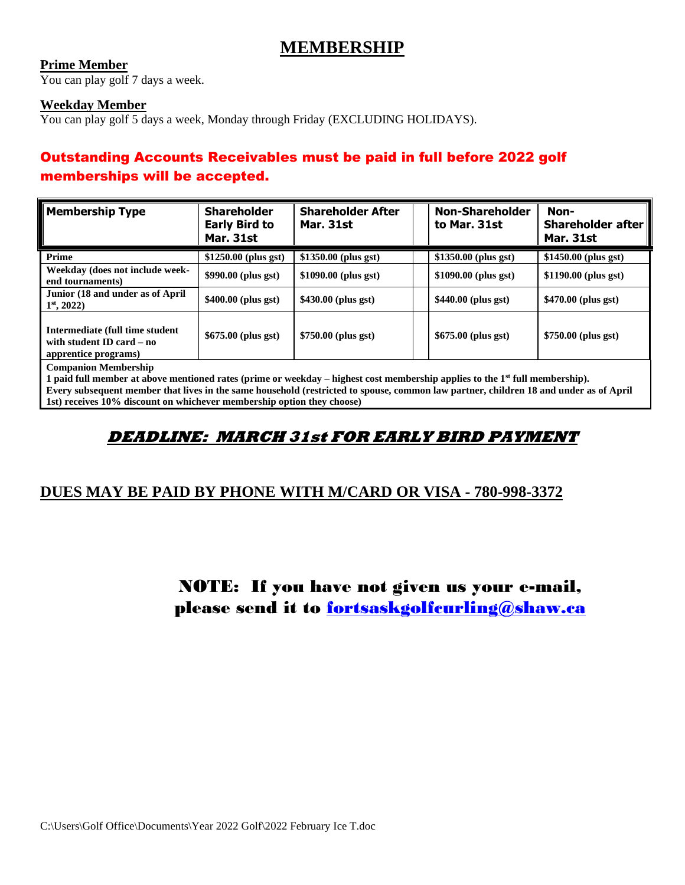## **MEMBERSHIP**

#### **Prime Member**

You can play golf 7 days a week.

#### **Weekday Member**

You can play golf 5 days a week, Monday through Friday (EXCLUDING HOLIDAYS).

## Outstanding Accounts Receivables must be paid in full before 2022 golf memberships will be accepted.

| <b>Mar. 31st</b>                                                                                                                                                       |                       |                       |                       | Shareholder after<br><b>Mar. 31st</b> |  |  |
|------------------------------------------------------------------------------------------------------------------------------------------------------------------------|-----------------------|-----------------------|-----------------------|---------------------------------------|--|--|
| Prime                                                                                                                                                                  | $$1250.00$ (plus gst) | $$1350.00$ (plus gst) | $$1350.00$ (plus gst) | $$1450.00$ (plus gst)                 |  |  |
| Weekday (does not include week-<br>end tournaments)                                                                                                                    | \$990.00 (plus gst)   | $$1090.00$ (plus gst) | \$1090.00 (plus gst)  | $$1190.00$ (plus gst)                 |  |  |
| Junior (18 and under as of April<br>$1st$ , 2022)                                                                                                                      | $$400.00$ (plus gst)  | $$430.00$ (plus gst)  | $$440.00$ (plus gst)  | $$470.00$ (plus gst)                  |  |  |
| Intermediate (full time student<br>with student ID card – no<br>apprentice programs)                                                                                   | $$675.00$ (plus gst)  | $$750.00$ (plus gst)  | $$675.00$ (plus gst)  | \$750.00 (plus gst)                   |  |  |
| <b>Companion Membership</b><br>1 paid full member at above mentioned rates (prime or weekday – highest cost membership applies to the 1 <sup>st</sup> full membership) |                       |                       |                       |                                       |  |  |

**1 paid full member at above mentioned rates (prime or weekday – highest cost membership applies to the 1st full membership). Every subsequent member that lives in the same household (restricted to spouse, common law partner, children 18 and under as of April 1st) receives 10% discount on whichever membership option they choose)**

## **DEADLINE: MARCH 31st FOR EARLY BIRD PAYMENT**

#### **DUES MAY BE PAID BY PHONE WITH M/CARD OR VISA - 780-998-3372**

# NOTE: If you have not given us your e-mail, please send it to [fortsaskgolfcurling@shaw.ca](mailto:fortsaskgolfcurling@shaw.ca)